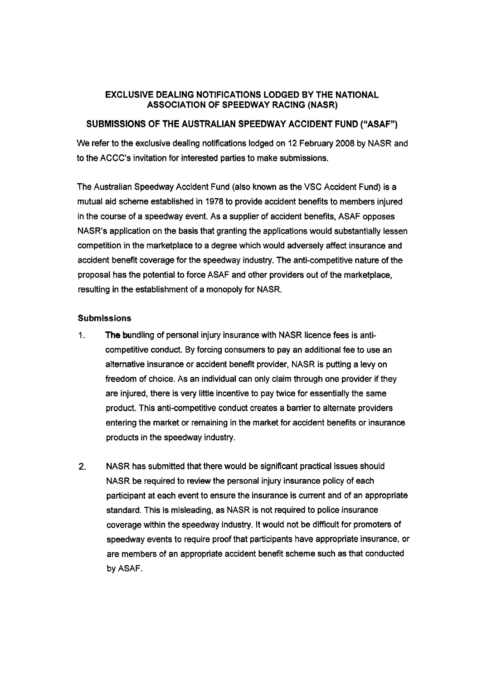## EXCLUSIVE DEALING NOTIFICATIONS LODGED BY THE NATIONAL ASSOCIATION OF SPEEDWAY RACING (NASR)

## SUBMISSIONS OF THE AUSTRALIAN SPEEDWAY ACCIDENT FUND ("ASAF")

We refer to the exclusive dealing notifications lodged on **12** February **2008** by NASR and to the ACCC's invitation for interested parties to make submissions.

The Australian Speedway Accident Fund (also known as the VSC Accident Fund) is a mutual aid scheme established in **1978** to provide accident benefits to members injured in the course of a speedway event. As a supplier of accident benefits, ASAF opposes NASR's application on the basis that granting the applications would substantially lessen competition in the marketplace to a degree which would adversely affect insurance and accident benefit coverage for the speedway industry. The anti-competitive nature of the proposal has the potential to force ASAF and other providers out of the marketplace, resulting in the establishment of a monopoly for NASR.

## **Submissions**

- 1. The bundling of personal injury insurance with NASR licence fees is anticompetitive conduct. By forcing consumers to pay an additional fee to use an alternative insurance or accident benefit provider, NASR is putting a levy on freedom of choice. As an individual can only claim through one provider if they are injured, there is very little incentive to pay twice for essentially the same product. This anti-competitive conduct creates a barrier to alternate providers entering the market or remaining in the market for accident benefits or insurance products in the speedway industry.
- **2.** NASR has submitted that there would be significant practical issues should NASR be required to review the personal injury insurance policy of each participant at each event to ensure the insurance is current and of an appropriate standard. This is misleading, as NASR is not required to police insurance coverage within the speedway industry. It would not be difficult for promoters of speedway events to require proof that participants have appropriate insurance, or are members of an appropriate accident benefit scheme such as that conducted by ASAF.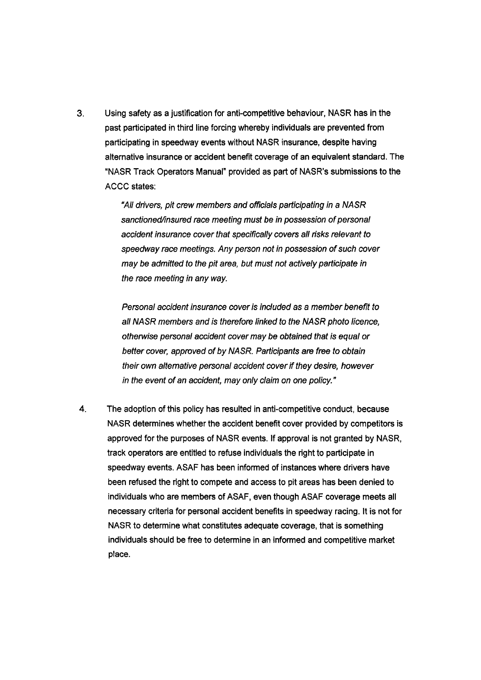**3.** Using safety as a justification for anti-competitive behaviour, **NASR** has in the past participated in third line forcing whereby individuals are prevented from participating in speedway events without **NASR** insurance, despite having alternative insurance or accident benefit coverage of an equivalent standard. The "NASR Track Operators Manual" provided as part of NASR's submissions to the **ACCC** states:

> "All drivers, pit crew members and officials participating in a NASR sanctioned/insured race meeting must be in possession of personal accident insurance cover that specifically covers all risks relevant to speedway race meetings. Any person not in possession of such cover may be admitted to the pit area, but must not actively participate in the race meeting in any way.

> Personal accident insurance cover is included as a member benefif to all NASR members and is therefore linked to the NASR photo licence, otherwise personal accident cover may be obtained that is equal or better cover, approved of by NASR. Participants are free to obtain their own alternative personal accident cover if they desire, however in the event of an accident, may only claim on one policy."

**4.** The adoption of this policy has resulted in anti-competitive conduct, because **NASR** determines whether the accident benefit cover provided by competitors is approved for the purposes of **NASR** events. If approval is not granted by **NASR,**  track operators are entitled to refuse individuals the right to participate in speedway events. **ASAF** has been informed of instances where drivers have been refused the right to compete and access to pit areas has been denied to individuals who are members of **ASAF,** even though **ASAF** coverage meets all necessary criteria for personal accident benefits in speedway racing. It is not for **NASR** to determine what constitutes adequate coverage, that is something individuals should be free to determine in an informed and competitive market place.